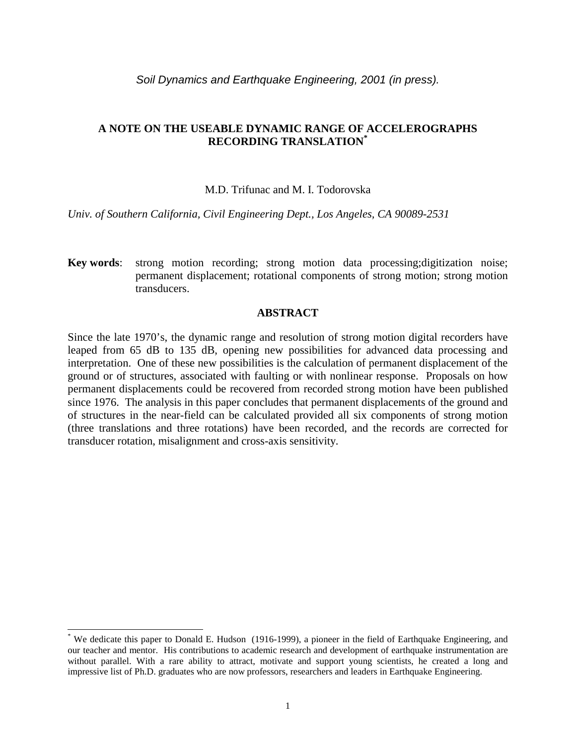# **A NOTE ON THE USEABLE DYNAMIC RANGE OF ACCELEROGRAPHS RECORDING TRANSLATION\***

## M.D. Trifunac and M. I. Todorovska

*Univ. of Southern California, Civil Engineering Dept., Los Angeles, CA 90089-2531* 

**Key words**: strong motion recording; strong motion data processing;digitization noise; permanent displacement; rotational components of strong motion; strong motion transducers.

### **ABSTRACT**

Since the late 1970's, the dynamic range and resolution of strong motion digital recorders have leaped from 65 dB to 135 dB, opening new possibilities for advanced data processing and interpretation. One of these new possibilities is the calculation of permanent displacement of the ground or of structures, associated with faulting or with nonlinear response. Proposals on how permanent displacements could be recovered from recorded strong motion have been published since 1976. The analysis in this paper concludes that permanent displacements of the ground and of structures in the near-field can be calculated provided all six components of strong motion (three translations and three rotations) have been recorded, and the records are corrected for transducer rotation, misalignment and cross-axis sensitivity.

l

<sup>\*</sup> We dedicate this paper to Donald E. Hudson (1916-1999), a pioneer in the field of Earthquake Engineering, and our teacher and mentor. His contributions to academic research and development of earthquake instrumentation are without parallel. With a rare ability to attract, motivate and support young scientists, he created a long and impressive list of Ph.D. graduates who are now professors, researchers and leaders in Earthquake Engineering.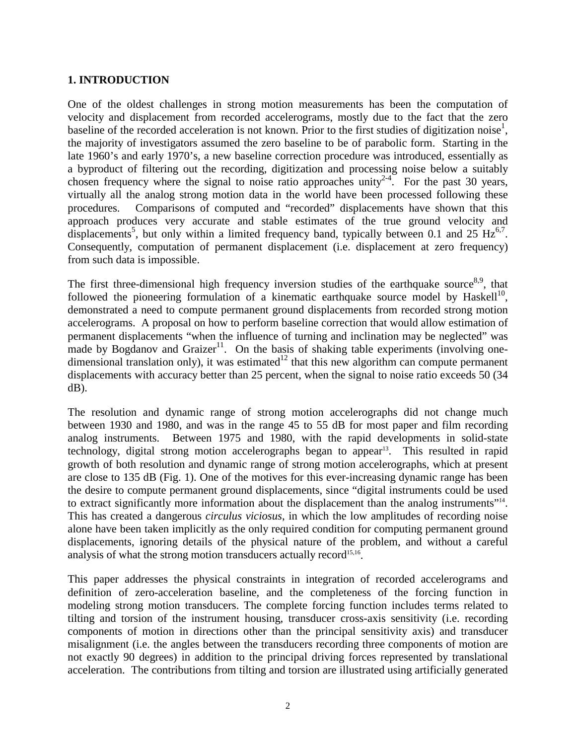# **1. INTRODUCTION**

One of the oldest challenges in strong motion measurements has been the computation of velocity and displacement from recorded accelerograms, mostly due to the fact that the zero baseline of the recorded acceleration is not known. Prior to the first studies of digitization noise<sup>1</sup>, the majority of investigators assumed the zero baseline to be of parabolic form. Starting in the late 1960's and early 1970's, a new baseline correction procedure was introduced, essentially as a byproduct of filtering out the recording, digitization and processing noise below a suitably chosen frequency where the signal to noise ratio approaches unity<sup>2-4</sup>. For the past 30 years, virtually all the analog strong motion data in the world have been processed following these procedures. Comparisons of computed and "recorded" displacements have shown that this approach produces very accurate and stable estimates of the true ground velocity and displacements<sup>5</sup>, but only within a limited frequency band, typically between 0.1 and 25  $\text{Hz}^{6,7}$ . Consequently, computation of permanent displacement (i.e. displacement at zero frequency) from such data is impossible.

The first three-dimensional high frequency inversion studies of the earthquake source  $8.9$ , that followed the pioneering formulation of a kinematic earthquake source model by Haskell<sup>10</sup>, demonstrated a need to compute permanent ground displacements from recorded strong motion accelerograms. A proposal on how to perform baseline correction that would allow estimation of permanent displacements "when the influence of turning and inclination may be neglected" was made by Bogdanov and Graizer<sup>11</sup>. On the basis of shaking table experiments (involving onedimensional translation only), it was estimated<sup>12</sup> that this new algorithm can compute permanent displacements with accuracy better than 25 percent, when the signal to noise ratio exceeds 50 (34 dB).

The resolution and dynamic range of strong motion accelerographs did not change much between 1930 and 1980, and was in the range 45 to 55 dB for most paper and film recording analog instruments. Between 1975 and 1980, with the rapid developments in solid-state technology, digital strong motion accelerographs began to appear<sup>13</sup>. This resulted in rapid growth of both resolution and dynamic range of strong motion accelerographs, which at present are close to 135 dB (Fig. 1). One of the motives for this ever-increasing dynamic range has been the desire to compute permanent ground displacements, since "digital instruments could be used to extract significantly more information about the displacement than the analog instruments"14. This has created a dangerous *circulus viciosus*, in which the low amplitudes of recording noise alone have been taken implicitly as the only required condition for computing permanent ground displacements, ignoring details of the physical nature of the problem, and without a careful analysis of what the strong motion transducers actually record<sup>15,16</sup>.

This paper addresses the physical constraints in integration of recorded accelerograms and definition of zero-acceleration baseline, and the completeness of the forcing function in modeling strong motion transducers. The complete forcing function includes terms related to tilting and torsion of the instrument housing, transducer cross-axis sensitivity (i.e. recording components of motion in directions other than the principal sensitivity axis) and transducer misalignment (i.e. the angles between the transducers recording three components of motion are not exactly 90 degrees) in addition to the principal driving forces represented by translational acceleration. The contributions from tilting and torsion are illustrated using artificially generated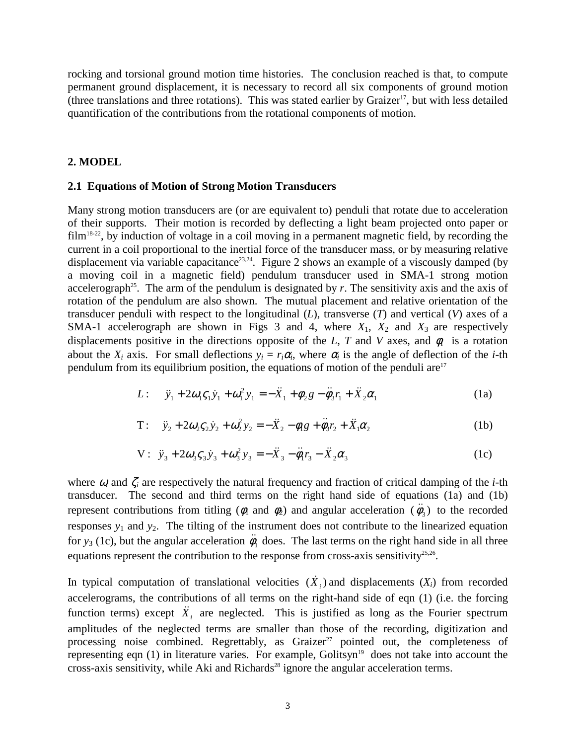rocking and torsional ground motion time histories. The conclusion reached is that, to compute permanent ground displacement, it is necessary to record all six components of ground motion (three translations and three rotations). This was stated earlier by Graizer<sup>17</sup>, but with less detailed quantification of the contributions from the rotational components of motion.

## **2. MODEL**

#### **2.1 Equations of Motion of Strong Motion Transducers**

Many strong motion transducers are (or are equivalent to) penduli that rotate due to acceleration of their supports. Their motion is recorded by deflecting a light beam projected onto paper or  $film<sup>18-22</sup>$ , by induction of voltage in a coil moving in a permanent magnetic field, by recording the current in a coil proportional to the inertial force of the transducer mass, or by measuring relative displacement via variable capacitance<sup>23,24</sup>. Figure 2 shows an example of a viscously damped (by a moving coil in a magnetic field) pendulum transducer used in SMA-1 strong motion accelerograph<sup>25</sup>. The arm of the pendulum is designated by  $r$ . The sensitivity axis and the axis of rotation of the pendulum are also shown. The mutual placement and relative orientation of the transducer penduli with respect to the longitudinal (*L*), transverse (*T*) and vertical (*V*) axes of a SMA-1 accelerograph are shown in Figs 3 and 4, where  $X_1$ ,  $X_2$  and  $X_3$  are respectively displacements positive in the directions opposite of the *L*, *T* and *V* axes, and  $\phi$  is a rotation about the  $X_i$  axis. For small deflections  $y_i = r_i \alpha_i$ , where  $\alpha_i$  is the angle of deflection of the *i*-th pendulum from its equilibrium position, the equations of motion of the penduli are<sup>17</sup>

L: 
$$
\ddot{y}_1 + 2\omega_1 \zeta_1 \dot{y}_1 + \omega_1^2 y_1 = -\ddot{X}_1 + \phi_2 g - \ddot{\phi}_3 r_1 + \ddot{X}_2 \alpha_1
$$
 (1a)

T: 
$$
\ddot{y}_2 + 2\omega_2 \zeta_2 \dot{y}_2 + \omega_2^2 y_2 = -\ddot{X}_2 - \phi_1 g + \ddot{\phi}_3 r_2 + \ddot{X}_1 \alpha_2
$$
 (1b)

$$
V: \ddot{y}_3 + 2\omega_3 \zeta_3 \dot{y}_3 + \omega_3^2 y_3 = -\ddot{X}_3 - \ddot{\phi}_1 r_3 - \ddot{X}_2 \alpha_3 \tag{1c}
$$

where  $\omega_i$  and  $\zeta_i$  are respectively the natural frequency and fraction of critical damping of the *i*-th transducer. The second and third terms on the right hand side of equations (1a) and (1b) represent contributions from titling ( $\phi_1$  and  $\phi_2$ ) and angular acceleration ( $\ddot{\phi}_3$ ) to the recorded responses  $y_1$  and  $y_2$ . The tilting of the instrument does not contribute to the linearized equation for *y*<sub>3</sub> (1c), but the angular acceleration  $\ddot{\phi}_1$  does. The last terms on the right hand side in all three equations represent the contribution to the response from cross-axis sensitivity $25.26$ .

In typical computation of translational velocities  $(\dot{X}_i)$  and displacements  $(X_i)$  from recorded accelerograms, the contributions of all terms on the right-hand side of eqn (1) (i.e. the forcing function terms) except  $\ddot{X}_i$  are neglected. This is justified as long as the Fourier spectrum amplitudes of the neglected terms are smaller than those of the recording, digitization and processing noise combined. Regrettably, as Graizer<sup>27</sup> pointed out, the completeness of representing eqn  $(1)$  in literature varies. For example, Golitsyn<sup>19</sup> does not take into account the cross-axis sensitivity, while Aki and Richards<sup>28</sup> ignore the angular acceleration terms.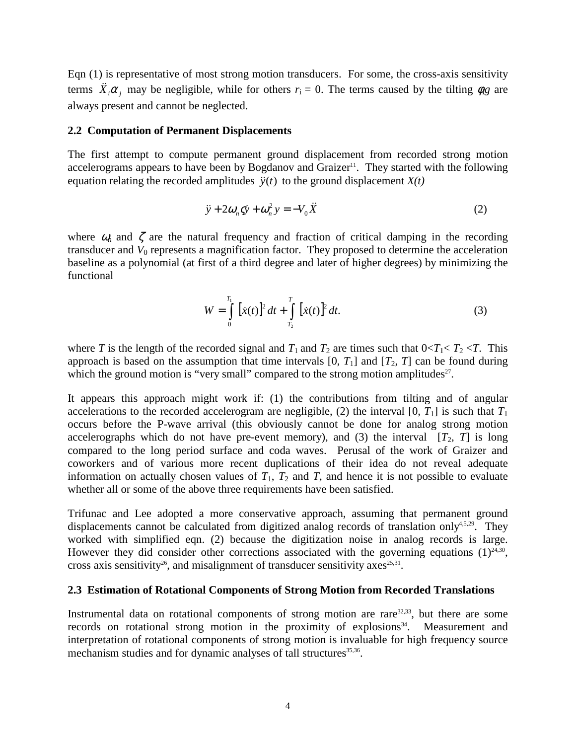Eqn (1) is representative of most strong motion transducers. For some, the cross-axis sensitivity terms  $\overrightarrow{X}_i \alpha_j$  may be negligible, while for others  $r_i = 0$ . The terms caused by the tilting  $\phi_{i}$  are always present and cannot be neglected.

#### **2.2 Computation of Permanent Displacements**

The first attempt to compute permanent ground displacement from recorded strong motion accelerograms appears to have been by Bogdanov and Graizer<sup>11</sup>. They started with the following equation relating the recorded amplitudes  $\ddot{y}(t)$  to the ground displacement  $X(t)$ 

$$
\ddot{y} + 2\omega_n \dot{y} + \omega_n^2 y = -V_0 \ddot{X}
$$
 (2)

where  $\omega_n$  and  $\zeta$  are the natural frequency and fraction of critical damping in the recording transducer and  $V_0$  represents a magnification factor. They proposed to determine the acceleration baseline as a polynomial (at first of a third degree and later of higher degrees) by minimizing the functional

$$
W = \int_{0}^{T_1} [\dot{x}(t)]^2 dt + \int_{T_2}^{T} [\dot{x}(t)]^2 dt.
$$
 (3)

where *T* is the length of the recorded signal and  $T_1$  and  $T_2$  are times such that  $0 < T_1 < T_2 < T$ . This approach is based on the assumption that time intervals  $[0, T_1]$  and  $[T_2, T]$  can be found during which the ground motion is "very small" compared to the strong motion amplitudes $27$ .

It appears this approach might work if: (1) the contributions from tilting and of angular accelerations to the recorded accelerogram are negligible, (2) the interval  $[0, T_1]$  is such that  $T_1$ occurs before the P-wave arrival (this obviously cannot be done for analog strong motion accelerographs which do not have pre-event memory), and (3) the interval  $[T_2, T]$  is long compared to the long period surface and coda waves. Perusal of the work of Graizer and coworkers and of various more recent duplications of their idea do not reveal adequate information on actually chosen values of  $T_1$ ,  $T_2$  and  $T_1$ , and hence it is not possible to evaluate whether all or some of the above three requirements have been satisfied.

Trifunac and Lee adopted a more conservative approach, assuming that permanent ground displacements cannot be calculated from digitized analog records of translation only<sup>4,5,29</sup>. They worked with simplified eqn. (2) because the digitization noise in analog records is large. However they did consider other corrections associated with the governing equations  $(1)^{24,30}$ , cross axis sensitivity<sup>26</sup>, and misalignment of transducer sensitivity axes<sup>25,31</sup>.

## **2.3 Estimation of Rotational Components of Strong Motion from Recorded Translations**

Instrumental data on rotational components of strong motion are rare $32,33$ , but there are some records on rotational strong motion in the proximity of explosions<sup>34</sup>. Measurement and interpretation of rotational components of strong motion is invaluable for high frequency source mechanism studies and for dynamic analyses of tall structures<sup>35,36</sup>.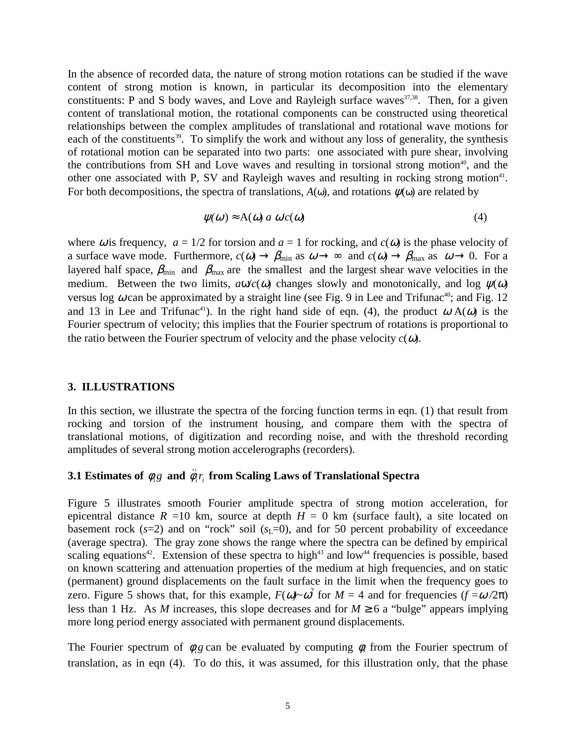In the absence of recorded data, the nature of strong motion rotations can be studied if the wave content of strong motion is known, in particular its decomposition into the elementary constituents: P and S body waves, and Love and Rayleigh surface waves $37,38$ . Then, for a given content of translational motion, the rotational components can be constructed using theoretical relationships between the complex amplitudes of translational and rotational wave motions for each of the constituents<sup>39</sup>. To simplify the work and without any loss of generality, the synthesis of rotational motion can be separated into two parts: one associated with pure shear, involving the contributions from SH and Love waves and resulting in torsional strong motion<sup>40</sup>, and the other one associated with P, SV and Rayleigh waves and resulting in rocking strong motion<sup>41</sup>. For both decompositions, the spectra of translations,  $A(\omega)$ , and rotations  $\psi(\omega)$  are related by

$$
\psi(\omega) \approx A(\omega) a \omega'c(\omega) \tag{4}
$$

where  $\omega$  is frequency,  $a = 1/2$  for torsion and  $a = 1$  for rocking, and  $c(\omega)$  is the phase velocity of a surface wave mode. Furthermore,  $c(\omega) \to \beta_{\text{min}}$  as  $\omega \to \infty$  and  $c(\omega) \to \beta_{\text{max}}$  as  $\omega \to 0$ . For a layered half space,  $\beta_{\text{min}}$  and  $\beta_{\text{max}}$  are the smallest and the largest shear wave velocities in the medium. Between the two limits,  $a\omega/c(\omega)$  changes slowly and monotonically, and log  $\psi(\omega)$ versus log  $\omega$  can be approximated by a straight line (see Fig. 9 in Lee and Trifunac<sup>40</sup>; and Fig. 12 and 13 in Lee and Trifunac<sup>41</sup>). In the right hand side of eqn. (4), the product  $\omega A(\omega)$  is the Fourier spectrum of velocity; this implies that the Fourier spectrum of rotations is proportional to the ratio between the Fourier spectrum of velocity and the phase velocity  $c(\omega)$ .

#### **3. ILLUSTRATIONS**

In this section, we illustrate the spectra of the forcing function terms in eqn. (1) that result from rocking and torsion of the instrument housing, and compare them with the spectra of translational motions, of digitization and recording noise, and with the threshold recording amplitudes of several strong motion accelerographs (recorders).

# **3.1 Estimates of**  $\phi_i g$  **and**  $\ddot{\phi}_i r_i$  **from Scaling Laws of Translational Spectra**

Figure 5 illustrates smooth Fourier amplitude spectra of strong motion acceleration, for epicentral distance  $R = 10$  km, source at depth  $H = 0$  km (surface fault), a site located on basement rock  $(s=2)$  and on "rock" soil  $(s<sub>L</sub>=0)$ , and for 50 percent probability of exceedance (average spectra). The gray zone shows the range where the spectra can be defined by empirical scaling equations<sup>42</sup>. Extension of these spectra to high<sup>43</sup> and low<sup>44</sup> frequencies is possible, based on known scattering and attenuation properties of the medium at high frequencies, and on static (permanent) ground displacements on the fault surface in the limit when the frequency goes to zero. Figure 5 shows that, for this example,  $F(\omega) \sim \omega^2$  for  $M = 4$  and for frequencies  $(f = \omega / 2\pi)$ less than 1 Hz. As *M* increases, this slope decreases and for  $M \ge 6$  a "bulge" appears implying more long period energy associated with permanent ground displacements.

The Fourier spectrum of  $\phi_{\beta}$  can be evaluated by computing  $\phi_{\beta}$  from the Fourier spectrum of translation, as in eqn (4). To do this, it was assumed, for this illustration only, that the phase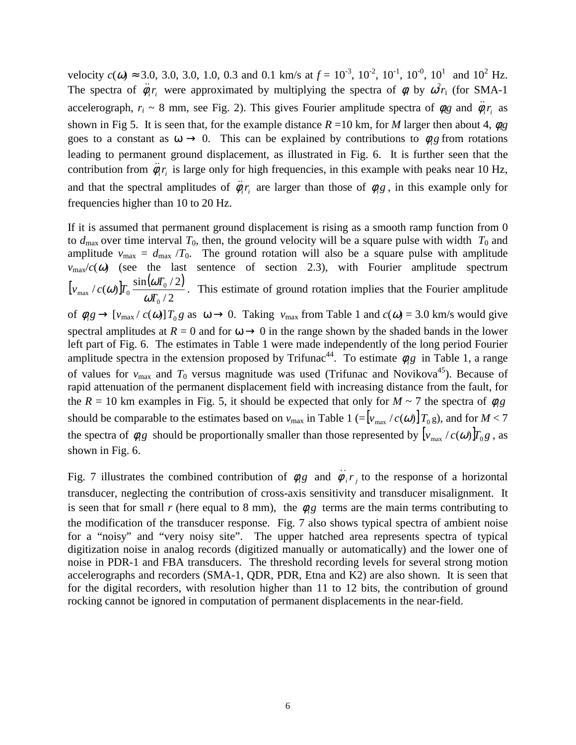velocity  $c(\omega) \approx 3.0, 3.0, 3.0, 1.0, 0.3$  and 0.1 km/s at  $f = 10^{-3}, 10^{-2}, 10^{-1}, 10^{-0}, 10^{1}$  and  $10^{2}$  Hz. The spectra of  $\ddot{\phi}_i r_i$  were approximated by multiplying the spectra of  $\phi_i$  by  $\omega^2 r_i$  (for SMA-1) accelerograph,  $r_i \sim 8$  mm, see Fig. 2). This gives Fourier amplitude spectra of  $\phi_{i}g$  and  $\ddot{\phi}_{i}r_i$  as shown in Fig 5. It is seen that, for the example distance  $R = 10$  km, for *M* larger then about 4,  $\phi_{\rm R}$ goes to a constant as  $\omega \to 0$ . This can be explained by contributions to  $\phi_i$ g from rotations leading to permanent ground displacement, as illustrated in Fig. 6. It is further seen that the contribution from  $\ddot{\phi}_i r_i$  is large only for high frequencies, in this example with peaks near 10 Hz, and that the spectral amplitudes of  $\ddot{\phi}_i r_i$  are larger than those of  $\phi_i g$ , in this example only for frequencies higher than 10 to 20 Hz.

If it is assumed that permanent ground displacement is rising as a smooth ramp function from 0 to  $d_{\text{max}}$  over time interval  $T_0$ , then, the ground velocity will be a square pulse with width  $T_0$  and amplitude  $v_{\text{max}} = d_{\text{max}} / T_0$ . The ground rotation will also be a square pulse with amplitude  $v_{\text{max}}/c(\omega)$  (see the last sentence of section 2.3), with Fourier amplitude spectrum  $\left[ v_{\rm max}/c(\omega) \right] T_0 \frac{\sin(\omega T_0/2)}{T_0}$  $/ 2$  $\int_{\mathcal{C}} f(x) \, dx \frac{\sin(\omega T_0/2)}{\pi}$ 0  $\mathbf{0}$  $_{\text{max}}$ <sup>'</sup>  $\alpha$   $\omega$ <sup> $\mu$ </sup><sub>0</sub>  $\alpha$  $\overline{T}$ *T*  $v_{\text{max}}$  /  $c(\omega)$   $T_0$   $\frac{\text{snr}}{\omega}$ ω) $T_0 \frac{\sin(\omega I_0/2)}{T}$ . This estimate of ground rotation implies that the Fourier amplitude of  $\phi_i g \to \left[\nu_{\text{max}}/c(\omega)\right]T_0 g$  as  $\omega \to 0$ . Taking  $\nu_{\text{max}}$  from Table 1 and  $c(\omega) = 3.0$  km/s would give spectral amplitudes at  $R = 0$  and for  $\omega \rightarrow 0$  in the range shown by the shaded bands in the lower left part of Fig. 6. The estimates in Table 1 were made independently of the long period Fourier amplitude spectra in the extension proposed by Trifunac<sup>44</sup>. To estimate  $\phi_{i}g$  in Table 1, a range of values for  $v_{\text{max}}$  and  $T_0$  versus magnitude was used (Trifunac and Novikova<sup>45</sup>). Because of rapid attenuation of the permanent displacement field with increasing distance from the fault, for the  $R = 10$  km examples in Fig. 5, it should be expected that only for  $M \sim 7$  the spectra of  $\phi_{i}g$ should be comparable to the estimates based on  $v_{\text{max}}$  in Table 1 (= $[v_{\text{max}} / c(\omega)] T_0 g$ ), and for  $M < 7$ the spectra of  $\phi_i$ g should be proportionally smaller than those represented by  $[v_{\text{max}}/c(\omega)]T_0$ g, as shown in Fig. 6.

Fig. 7 illustrates the combined contribution of  $\phi_i g$  and  $\ddot{\phi}_i r_i$  to the response of a horizontal transducer, neglecting the contribution of cross-axis sensitivity and transducer misalignment. It is seen that for small *r* (here equal to 8 mm), the  $\phi_{\beta}$  terms are the main terms contributing to the modification of the transducer response. Fig. 7 also shows typical spectra of ambient noise for a "noisy" and "very noisy site". The upper hatched area represents spectra of typical digitization noise in analog records (digitized manually or automatically) and the lower one of noise in PDR-1 and FBA transducers. The threshold recording levels for several strong motion accelerographs and recorders (SMA-1, QDR, PDR, Etna and K2) are also shown. It is seen that for the digital recorders, with resolution higher than 11 to 12 bits, the contribution of ground rocking cannot be ignored in computation of permanent displacements in the near-field.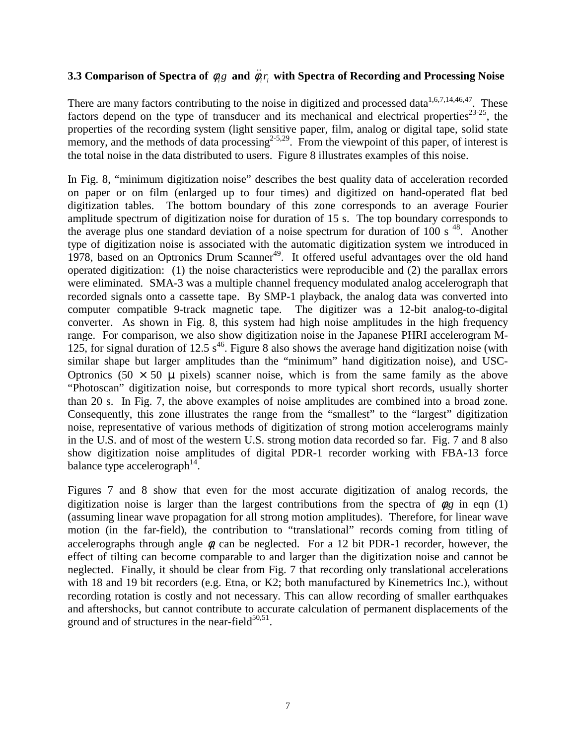# **3.3 Comparison of Spectra of**  $\phi_{i}g$  **and**  $\ddot{\phi}_{i}r_{i}$  **with Spectra of Recording and Processing Noise**

There are many factors contributing to the noise in digitized and processed data<sup>1,6,7,14,46,47</sup>. These factors depend on the type of transducer and its mechanical and electrical properties $^{23-25}$ , the properties of the recording system (light sensitive paper, film, analog or digital tape, solid state memory, and the methods of data processing<sup>2-5,29</sup>. From the viewpoint of this paper, of interest is the total noise in the data distributed to users. Figure 8 illustrates examples of this noise.

In Fig. 8, "minimum digitization noise" describes the best quality data of acceleration recorded on paper or on film (enlarged up to four times) and digitized on hand-operated flat bed digitization tables. The bottom boundary of this zone corresponds to an average Fourier amplitude spectrum of digitization noise for duration of 15 s. The top boundary corresponds to the average plus one standard deviation of a noise spectrum for duration of 100 s  $^{48}$ . Another type of digitization noise is associated with the automatic digitization system we introduced in 1978, based on an Optronics Drum Scanner<sup>49</sup>. It offered useful advantages over the old hand operated digitization: (1) the noise characteristics were reproducible and (2) the parallax errors were eliminated. SMA-3 was a multiple channel frequency modulated analog accelerograph that recorded signals onto a cassette tape. By SMP-1 playback, the analog data was converted into computer compatible 9-track magnetic tape. The digitizer was a 12-bit analog-to-digital converter. As shown in Fig. 8, this system had high noise amplitudes in the high frequency range. For comparison, we also show digitization noise in the Japanese PHRI accelerogram M-125, for signal duration of 12.5  $s^{46}$ . Figure 8 also shows the average hand digitization noise (with similar shape but larger amplitudes than the "minimum" hand digitization noise), and USC-Optronics  $(50 \times 50 \mu)$  pixels) scanner noise, which is from the same family as the above "Photoscan" digitization noise, but corresponds to more typical short records, usually shorter than 20 s. In Fig. 7, the above examples of noise amplitudes are combined into a broad zone. Consequently, this zone illustrates the range from the "smallest" to the "largest" digitization noise, representative of various methods of digitization of strong motion accelerograms mainly in the U.S. and of most of the western U.S. strong motion data recorded so far. Fig. 7 and 8 also show digitization noise amplitudes of digital PDR-1 recorder working with FBA-13 force balance type accelerograph<sup>14</sup>.

Figures 7 and 8 show that even for the most accurate digitization of analog records, the digitization noise is larger than the largest contributions from the spectra of  $\phi_{\mathcal{R}}$  in eqn (1) (assuming linear wave propagation for all strong motion amplitudes). Therefore, for linear wave motion (in the far-field), the contribution to "translational" records coming from titling of accelerographs through angle  $\phi$  can be neglected. For a 12 bit PDR-1 recorder, however, the effect of tilting can become comparable to and larger than the digitization noise and cannot be neglected. Finally, it should be clear from Fig. 7 that recording only translational accelerations with 18 and 19 bit recorders (e.g. Etna, or K2; both manufactured by Kinemetrics Inc.), without recording rotation is costly and not necessary. This can allow recording of smaller earthquakes and aftershocks, but cannot contribute to accurate calculation of permanent displacements of the ground and of structures in the near-field $50,51$ .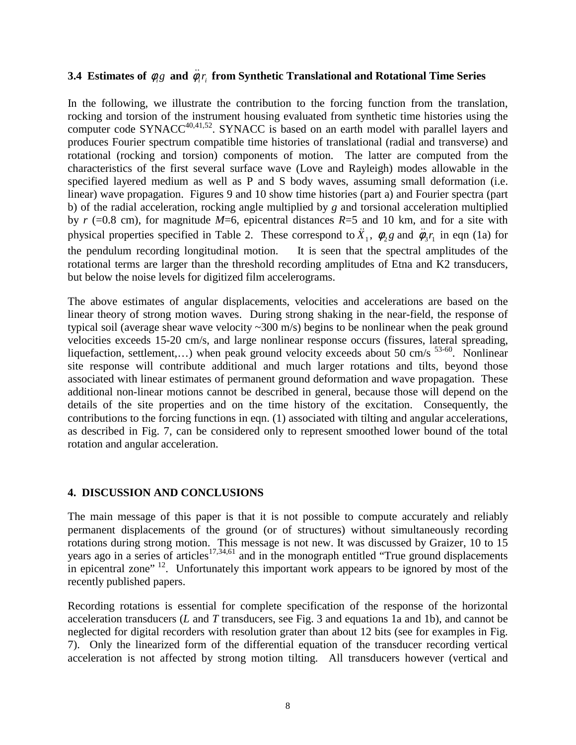# **3.4 Estimates of**  $\phi_i g$  **and**  $\ddot{\phi}_i r_i$  **from Synthetic Translational and Rotational Time Series**

In the following, we illustrate the contribution to the forcing function from the translation, rocking and torsion of the instrument housing evaluated from synthetic time histories using the computer code SYNACC<sup>40,41,52</sup>. SYNACC is based on an earth model with parallel layers and produces Fourier spectrum compatible time histories of translational (radial and transverse) and rotational (rocking and torsion) components of motion. The latter are computed from the characteristics of the first several surface wave (Love and Rayleigh) modes allowable in the specified layered medium as well as P and S body waves, assuming small deformation (i.e. linear) wave propagation. Figures 9 and 10 show time histories (part a) and Fourier spectra (part b) of the radial acceleration, rocking angle multiplied by *g* and torsional acceleration multiplied by  $r$  (=0.8 cm), for magnitude  $M=6$ , epicentral distances  $R=5$  and 10 km, and for a site with physical properties specified in Table 2. These correspond to  $\ddot{X}_1$ ,  $\phi_2 g$  and  $\ddot{\phi}_3 r_1$  in eqn (1a) for the pendulum recording longitudinal motion. It is seen that the spectral amplitudes of the rotational terms are larger than the threshold recording amplitudes of Etna and K2 transducers, but below the noise levels for digitized film accelerograms.

The above estimates of angular displacements, velocities and accelerations are based on the linear theory of strong motion waves. During strong shaking in the near-field, the response of typical soil (average shear wave velocity  $\sim 300$  m/s) begins to be nonlinear when the peak ground velocities exceeds 15-20 cm/s, and large nonlinear response occurs (fissures, lateral spreading, liquefaction, settlement,...) when peak ground velocity exceeds about 50 cm/s  $^{53-60}$ . Nonlinear site response will contribute additional and much larger rotations and tilts, beyond those associated with linear estimates of permanent ground deformation and wave propagation. These additional non-linear motions cannot be described in general, because those will depend on the details of the site properties and on the time history of the excitation. Consequently, the contributions to the forcing functions in eqn. (1) associated with tilting and angular accelerations, as described in Fig. 7, can be considered only to represent smoothed lower bound of the total rotation and angular acceleration.

## **4. DISCUSSION AND CONCLUSIONS**

The main message of this paper is that it is not possible to compute accurately and reliably permanent displacements of the ground (or of structures) without simultaneously recording rotations during strong motion. This message is not new. It was discussed by Graizer, 10 to 15 years ago in a series of articles<sup>17,34,61</sup> and in the monograph entitled "True ground displacements" in epicentral zone"  $^{12}$ . Unfortunately this important work appears to be ignored by most of the recently published papers.

Recording rotations is essential for complete specification of the response of the horizontal acceleration transducers (*L* and *T* transducers, see Fig. 3 and equations 1a and 1b), and cannot be neglected for digital recorders with resolution grater than about 12 bits (see for examples in Fig. 7). Only the linearized form of the differential equation of the transducer recording vertical acceleration is not affected by strong motion tilting. All transducers however (vertical and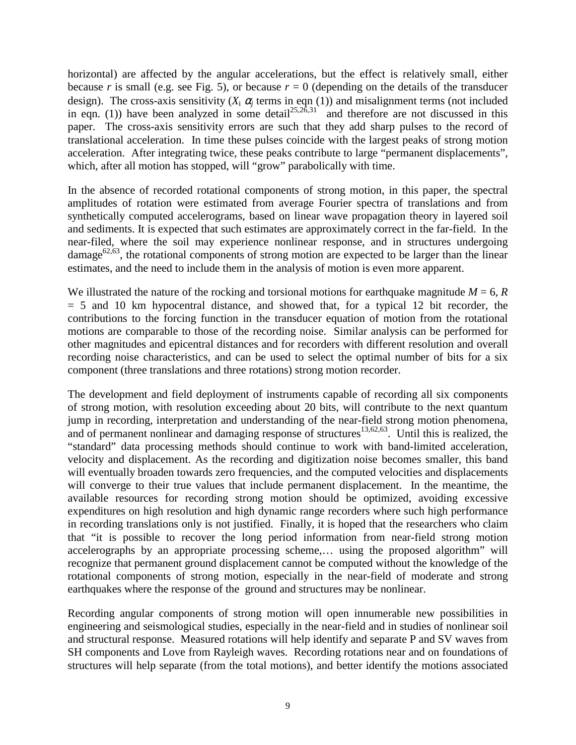horizontal) are affected by the angular accelerations, but the effect is relatively small, either because *r* is small (e.g. see Fig. 5), or because  $r = 0$  (depending on the details of the transducer design). The cross-axis sensitivity  $(X_i \alpha_i)$  terms in eqn (1)) and misalignment terms (not included in eqn. (1)) have been analyzed in some detail<sup>25,26,31</sup> and therefore are not discussed in this paper. The cross-axis sensitivity errors are such that they add sharp pulses to the record of translational acceleration. In time these pulses coincide with the largest peaks of strong motion acceleration. After integrating twice, these peaks contribute to large "permanent displacements", which, after all motion has stopped, will "grow" parabolically with time.

In the absence of recorded rotational components of strong motion, in this paper, the spectral amplitudes of rotation were estimated from average Fourier spectra of translations and from synthetically computed accelerograms, based on linear wave propagation theory in layered soil and sediments. It is expected that such estimates are approximately correct in the far-field. In the near-filed, where the soil may experience nonlinear response, and in structures undergoing damage<sup>62,63</sup>, the rotational components of strong motion are expected to be larger than the linear estimates, and the need to include them in the analysis of motion is even more apparent.

We illustrated the nature of the rocking and torsional motions for earthquake magnitude  $M = 6$ ,  $R$  $= 5$  and 10 km hypocentral distance, and showed that, for a typical 12 bit recorder, the contributions to the forcing function in the transducer equation of motion from the rotational motions are comparable to those of the recording noise. Similar analysis can be performed for other magnitudes and epicentral distances and for recorders with different resolution and overall recording noise characteristics, and can be used to select the optimal number of bits for a six component (three translations and three rotations) strong motion recorder.

The development and field deployment of instruments capable of recording all six components of strong motion, with resolution exceeding about 20 bits, will contribute to the next quantum jump in recording, interpretation and understanding of the near-field strong motion phenomena, and of permanent nonlinear and damaging response of structures<sup>13,62,63</sup>. Until this is realized, the "standard" data processing methods should continue to work with band-limited acceleration, velocity and displacement. As the recording and digitization noise becomes smaller, this band will eventually broaden towards zero frequencies, and the computed velocities and displacements will converge to their true values that include permanent displacement. In the meantime, the available resources for recording strong motion should be optimized, avoiding excessive expenditures on high resolution and high dynamic range recorders where such high performance in recording translations only is not justified. Finally, it is hoped that the researchers who claim that "it is possible to recover the long period information from near-field strong motion accelerographs by an appropriate processing scheme,… using the proposed algorithm" will recognize that permanent ground displacement cannot be computed without the knowledge of the rotational components of strong motion, especially in the near-field of moderate and strong earthquakes where the response of the ground and structures may be nonlinear.

Recording angular components of strong motion will open innumerable new possibilities in engineering and seismological studies, especially in the near-field and in studies of nonlinear soil and structural response. Measured rotations will help identify and separate P and SV waves from SH components and Love from Rayleigh waves. Recording rotations near and on foundations of structures will help separate (from the total motions), and better identify the motions associated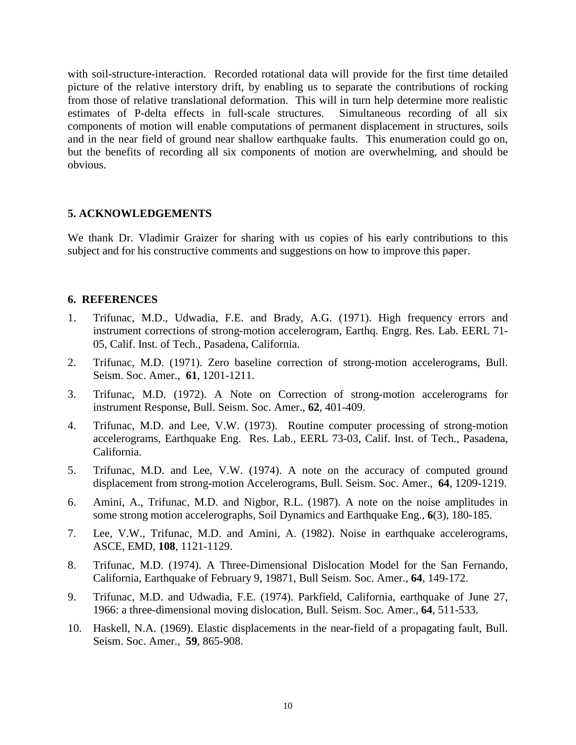with soil-structure-interaction. Recorded rotational data will provide for the first time detailed picture of the relative interstory drift, by enabling us to separate the contributions of rocking from those of relative translational deformation. This will in turn help determine more realistic estimates of P-delta effects in full-scale structures. Simultaneous recording of all six components of motion will enable computations of permanent displacement in structures, soils and in the near field of ground near shallow earthquake faults. This enumeration could go on, but the benefits of recording all six components of motion are overwhelming, and should be obvious.

# **5. ACKNOWLEDGEMENTS**

We thank Dr. Vladimir Graizer for sharing with us copies of his early contributions to this subject and for his constructive comments and suggestions on how to improve this paper.

# **6. REFERENCES**

- 1. Trifunac, M.D., Udwadia, F.E. and Brady, A.G. (1971). High frequency errors and instrument corrections of strong-motion accelerogram, Earthq. Engrg. Res. Lab. EERL 71- 05, Calif. Inst. of Tech., Pasadena, California.
- 2. Trifunac, M.D. (1971). Zero baseline correction of strong-motion accelerograms, Bull. Seism. Soc. Amer., **61**, 1201-1211.
- 3. Trifunac, M.D. (1972). A Note on Correction of strong-motion accelerograms for instrument Response, Bull. Seism. Soc. Amer., **62**, 401-409.
- 4. Trifunac, M.D. and Lee, V.W. (1973). Routine computer processing of strong-motion accelerograms, Earthquake Eng. Res. Lab., EERL 73-03, Calif. Inst. of Tech., Pasadena, California.
- 5. Trifunac, M.D. and Lee, V.W. (1974). A note on the accuracy of computed ground displacement from strong-motion Accelerograms, Bull. Seism. Soc. Amer., **64**, 1209-1219.
- 6. Amini, A., Trifunac, M.D. and Nigbor, R.L. (1987). A note on the noise amplitudes in some strong motion accelerographs, Soil Dynamics and Earthquake Eng., **6**(3), 180-185.
- 7. Lee, V.W., Trifunac, M.D. and Amini, A. (1982). Noise in earthquake accelerograms, ASCE, EMD, **108**, 1121-1129.
- 8. Trifunac, M.D. (1974). A Three-Dimensional Dislocation Model for the San Fernando, California, Earthquake of February 9, 19871, Bull Seism. Soc. Amer., **64**, 149-172.
- 9. Trifunac, M.D. and Udwadia, F.E. (1974). Parkfield, California, earthquake of June 27, 1966: a three-dimensional moving dislocation, Bull. Seism. Soc. Amer., **64**, 511-533.
- 10. Haskell, N.A. (1969). Elastic displacements in the near-field of a propagating fault, Bull. Seism. Soc. Amer., **59**, 865-908.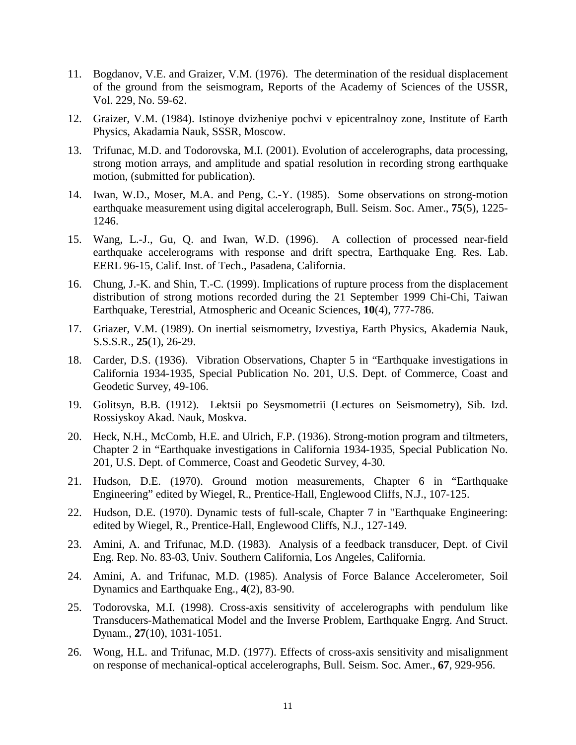- 11. Bogdanov, V.E. and Graizer, V.M. (1976). The determination of the residual displacement of the ground from the seismogram, Reports of the Academy of Sciences of the USSR, Vol. 229, No. 59-62.
- 12. Graizer, V.M. (1984). Istinoye dvizheniye pochvi v epicentralnoy zone, Institute of Earth Physics, Akadamia Nauk, SSSR, Moscow.
- 13. Trifunac, M.D. and Todorovska, M.I. (2001). Evolution of accelerographs, data processing, strong motion arrays, and amplitude and spatial resolution in recording strong earthquake motion, (submitted for publication).
- 14. Iwan, W.D., Moser, M.A. and Peng, C.-Y. (1985). Some observations on strong-motion earthquake measurement using digital accelerograph, Bull. Seism. Soc. Amer., **75**(5), 1225- 1246.
- 15. Wang, L.-J., Gu, Q. and Iwan, W.D. (1996). A collection of processed near-field earthquake accelerograms with response and drift spectra, Earthquake Eng. Res. Lab. EERL 96-15, Calif. Inst. of Tech., Pasadena, California.
- 16. Chung, J.-K. and Shin, T.-C. (1999). Implications of rupture process from the displacement distribution of strong motions recorded during the 21 September 1999 Chi-Chi, Taiwan Earthquake, Terestrial, Atmospheric and Oceanic Sciences, **10**(4), 777-786.
- 17. Griazer, V.M. (1989). On inertial seismometry, Izvestiya, Earth Physics, Akademia Nauk, S.S.S.R., **25**(1), 26-29.
- 18. Carder, D.S. (1936). Vibration Observations, Chapter 5 in "Earthquake investigations in California 1934-1935, Special Publication No. 201, U.S. Dept. of Commerce, Coast and Geodetic Survey, 49-106.
- 19. Golitsyn, B.B. (1912). Lektsii po Seysmometrii (Lectures on Seismometry), Sib. Izd. Rossiyskoy Akad. Nauk, Moskva.
- 20. Heck, N.H., McComb, H.E. and Ulrich, F.P. (1936). Strong-motion program and tiltmeters, Chapter 2 in "Earthquake investigations in California 1934-1935, Special Publication No. 201, U.S. Dept. of Commerce, Coast and Geodetic Survey, 4-30.
- 21. Hudson, D.E. (1970). Ground motion measurements, Chapter 6 in "Earthquake Engineering" edited by Wiegel, R., Prentice-Hall, Englewood Cliffs, N.J., 107-125.
- 22. Hudson, D.E. (1970). Dynamic tests of full-scale, Chapter 7 in "Earthquake Engineering: edited by Wiegel, R., Prentice-Hall, Englewood Cliffs, N.J., 127-149.
- 23. Amini, A. and Trifunac, M.D. (1983). Analysis of a feedback transducer, Dept. of Civil Eng. Rep. No. 83-03, Univ. Southern California, Los Angeles, California.
- 24. Amini, A. and Trifunac, M.D. (1985). Analysis of Force Balance Accelerometer, Soil Dynamics and Earthquake Eng., **4**(2), 83-90.
- 25. Todorovska, M.I. (1998). Cross-axis sensitivity of accelerographs with pendulum like Transducers-Mathematical Model and the Inverse Problem, Earthquake Engrg. And Struct. Dynam., **27**(10), 1031-1051.
- 26. Wong, H.L. and Trifunac, M.D. (1977). Effects of cross-axis sensitivity and misalignment on response of mechanical-optical accelerographs, Bull. Seism. Soc. Amer., **67**, 929-956.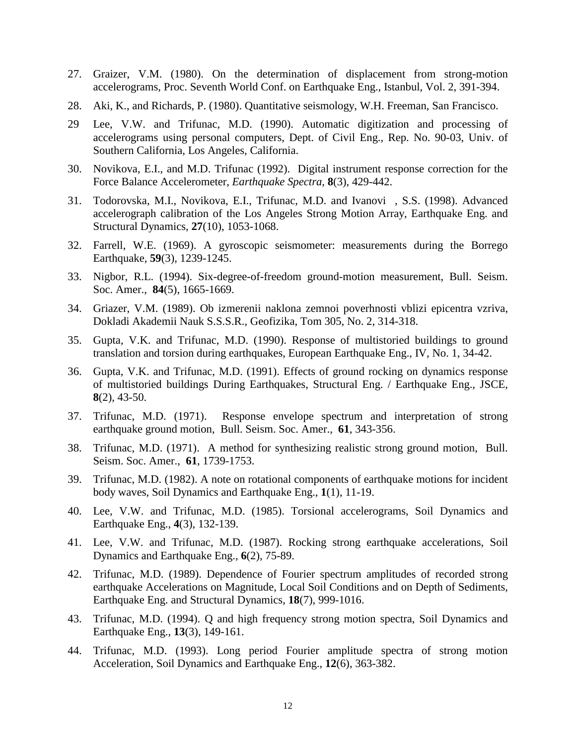- 27. Graizer, V.M. (1980). On the determination of displacement from strong-motion accelerograms, Proc. Seventh World Conf. on Earthquake Eng., Istanbul, Vol. 2, 391-394.
- 28. Aki, K., and Richards, P. (1980). Quantitative seismology, W.H. Freeman, San Francisco.
- 29 Lee, V.W. and Trifunac, M.D. (1990). Automatic digitization and processing of accelerograms using personal computers, Dept. of Civil Eng., Rep. No. 90-03, Univ. of Southern California, Los Angeles, California.
- 30. Novikova, E.I., and M.D. Trifunac (1992). Digital instrument response correction for the Force Balance Accelerometer, *Earthquake Spectra*, **8**(3), 429-442.
- 31. Todorovska, M.I., Novikova, E.I., Trifunac, M.D. and Ivanovi, S.S. (1998). Advanced accelerograph calibration of the Los Angeles Strong Motion Array, Earthquake Eng. and Structural Dynamics, **27**(10), 1053-1068.
- 32. Farrell, W.E. (1969). A gyroscopic seismometer: measurements during the Borrego Earthquake, **59**(3), 1239-1245.
- 33. Nigbor, R.L. (1994). Six-degree-of-freedom ground-motion measurement, Bull. Seism. Soc. Amer., **84**(5), 1665-1669.
- 34. Griazer, V.M. (1989). Ob izmerenii naklona zemnoi poverhnosti vblizi epicentra vzriva, Dokladi Akademii Nauk S.S.S.R., Geofizika, Tom 305, No. 2, 314-318.
- 35. Gupta, V.K. and Trifunac, M.D. (1990). Response of multistoried buildings to ground translation and torsion during earthquakes, European Earthquake Eng., IV, No. 1, 34-42.
- 36. Gupta, V.K. and Trifunac, M.D. (1991). Effects of ground rocking on dynamics response of multistoried buildings During Earthquakes, Structural Eng. / Earthquake Eng., JSCE, **8**(2), 43-50.
- 37. Trifunac, M.D. (1971). Response envelope spectrum and interpretation of strong earthquake ground motion, Bull. Seism. Soc. Amer., **61**, 343-356.
- 38. Trifunac, M.D. (1971). A method for synthesizing realistic strong ground motion, Bull. Seism. Soc. Amer., **61**, 1739-1753.
- 39. Trifunac, M.D. (1982). A note on rotational components of earthquake motions for incident body waves, Soil Dynamics and Earthquake Eng., **1**(1), 11-19.
- 40. Lee, V.W. and Trifunac, M.D. (1985). Torsional accelerograms, Soil Dynamics and Earthquake Eng., **4**(3), 132-139.
- 41. Lee, V.W. and Trifunac, M.D. (1987). Rocking strong earthquake accelerations, Soil Dynamics and Earthquake Eng., **6**(2), 75-89.
- 42. Trifunac, M.D. (1989). Dependence of Fourier spectrum amplitudes of recorded strong earthquake Accelerations on Magnitude, Local Soil Conditions and on Depth of Sediments, Earthquake Eng. and Structural Dynamics, **18**(7), 999-1016.
- 43. Trifunac, M.D. (1994). Q and high frequency strong motion spectra, Soil Dynamics and Earthquake Eng., **13**(3), 149-161.
- 44. Trifunac, M.D. (1993). Long period Fourier amplitude spectra of strong motion Acceleration, Soil Dynamics and Earthquake Eng., **12**(6), 363-382.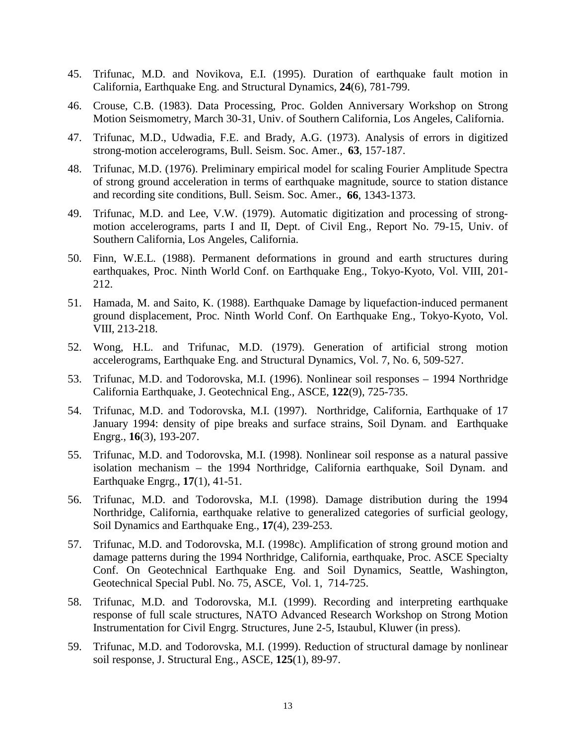- 45. Trifunac, M.D. and Novikova, E.I. (1995). Duration of earthquake fault motion in California, Earthquake Eng. and Structural Dynamics, **24**(6), 781-799.
- 46. Crouse, C.B. (1983). Data Processing, Proc. Golden Anniversary Workshop on Strong Motion Seismometry, March 30-31, Univ. of Southern California, Los Angeles, California.
- 47. Trifunac, M.D., Udwadia, F.E. and Brady, A.G. (1973). Analysis of errors in digitized strong-motion accelerograms, Bull. Seism. Soc. Amer., **63**, 157-187.
- 48. Trifunac, M.D. (1976). Preliminary empirical model for scaling Fourier Amplitude Spectra of strong ground acceleration in terms of earthquake magnitude, source to station distance and recording site conditions, Bull. Seism. Soc. Amer., **66**, 1343-1373.
- 49. Trifunac, M.D. and Lee, V.W. (1979). Automatic digitization and processing of strongmotion accelerograms, parts I and II, Dept. of Civil Eng., Report No. 79-15, Univ. of Southern California, Los Angeles, California.
- 50. Finn, W.E.L. (1988). Permanent deformations in ground and earth structures during earthquakes, Proc. Ninth World Conf. on Earthquake Eng., Tokyo-Kyoto, Vol. VIII, 201- 212.
- 51. Hamada, M. and Saito, K. (1988). Earthquake Damage by liquefaction-induced permanent ground displacement, Proc. Ninth World Conf. On Earthquake Eng., Tokyo-Kyoto, Vol. VIII, 213-218.
- 52. Wong, H.L. and Trifunac, M.D. (1979). Generation of artificial strong motion accelerograms, Earthquake Eng. and Structural Dynamics, Vol. 7, No. 6, 509-527.
- 53. Trifunac, M.D. and Todorovska, M.I. (1996). Nonlinear soil responses 1994 Northridge California Earthquake, J. Geotechnical Eng., ASCE, **122**(9), 725-735.
- 54. Trifunac, M.D. and Todorovska, M.I. (1997). Northridge, California, Earthquake of 17 January 1994: density of pipe breaks and surface strains, Soil Dynam. and Earthquake Engrg., **16**(3), 193-207.
- 55. Trifunac, M.D. and Todorovska, M.I. (1998). Nonlinear soil response as a natural passive isolation mechanism – the 1994 Northridge, California earthquake, Soil Dynam. and Earthquake Engrg., **17**(1), 41-51.
- 56. Trifunac, M.D. and Todorovska, M.I. (1998). Damage distribution during the 1994 Northridge, California, earthquake relative to generalized categories of surficial geology, Soil Dynamics and Earthquake Eng., **17**(4), 239-253.
- 57. Trifunac, M.D. and Todorovska, M.I. (1998c). Amplification of strong ground motion and damage patterns during the 1994 Northridge, California, earthquake, Proc. ASCE Specialty Conf. On Geotechnical Earthquake Eng. and Soil Dynamics, Seattle, Washington, Geotechnical Special Publ. No. 75, ASCE, Vol. 1, 714-725.
- 58. Trifunac, M.D. and Todorovska, M.I. (1999). Recording and interpreting earthquake response of full scale structures, NATO Advanced Research Workshop on Strong Motion Instrumentation for Civil Engrg. Structures, June 2-5, Istaubul, Kluwer (in press).
- 59. Trifunac, M.D. and Todorovska, M.I. (1999). Reduction of structural damage by nonlinear soil response, J. Structural Eng., ASCE, **125**(1), 89-97.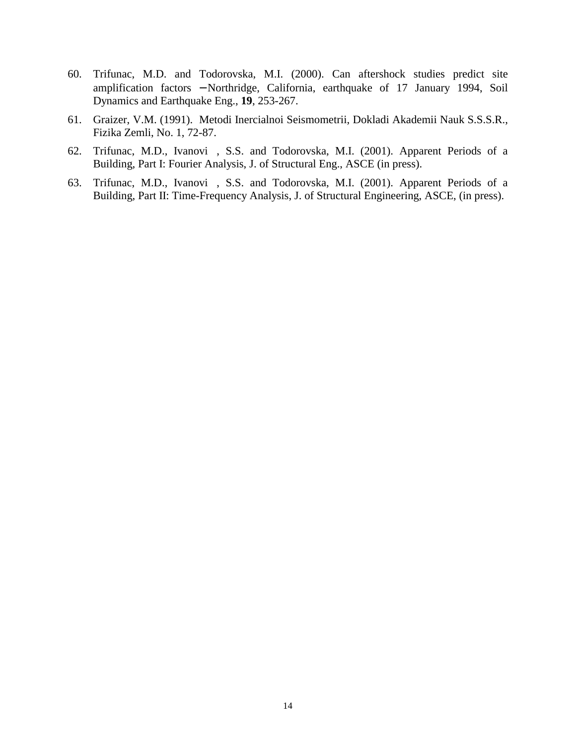- 60. Trifunac, M.D. and Todorovska, M.I. (2000). Can aftershock studies predict site amplification factors − Northridge, California, earthquake of 17 January 1994, Soil Dynamics and Earthquake Eng., **19**, 253-267.
- 61. Graizer, V.M. (1991). Metodi Inercialnoi Seismometrii, Dokladi Akademii Nauk S.S.S.R., Fizika Zemli, No. 1, 72-87.
- 62. Trifunac, M.D., Ivanovi, S.S. and Todorovska, M.I. (2001). Apparent Periods of a Building, Part I: Fourier Analysis, J. of Structural Eng., ASCE (in press).
- 63. Trifunac, M.D., Ivanovi, S.S. and Todorovska, M.I. (2001). Apparent Periods of a Building, Part II: Time-Frequency Analysis, J. of Structural Engineering, ASCE, (in press).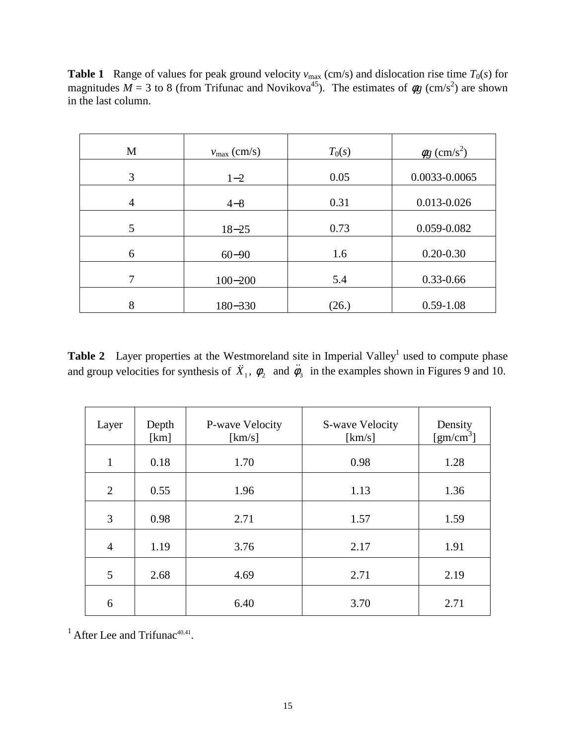**Table 1** Range of values for peak ground velocity  $v_{\text{max}}$  (cm/s) and dislocation rise time  $T_0(s)$  for magnitudes  $M = 3$  to 8 (from Trifunac and Novikova<sup>45</sup>). The estimates of  $\phi g$  (cm/s<sup>2</sup>) are shown in the last column.

| M | $v_{\text{max}}$ (cm/s) | $T_0(s)$ | $\phi$ g (cm/s <sup>2</sup> ) |
|---|-------------------------|----------|-------------------------------|
| 3 | $1 - 2$                 | 0.05     | 0.0033-0.0065                 |
| 4 | $4 - 8$                 | 0.31     | 0.013-0.026                   |
| 5 | $18 - 25$               | 0.73     | 0.059-0.082                   |
| 6 | $60 - 90$               | 1.6      | $0.20 - 0.30$                 |
| 7 | $100 - 200$             | 5.4      | $0.33 - 0.66$                 |
| 8 | 180-330                 | (26.)    | $0.59 - 1.08$                 |

**Table 2** Layer properties at the Westmoreland site in Imperial Valley<sup>1</sup> used to compute phase and group velocities for synthesis of  $\ddot{X}_1$ ,  $\phi_2$  and  $\ddot{\phi}_3$  in the examples shown in Figures 9 and 10.

| Layer          | Depth<br>[km] | P-wave Velocity<br>[km/s] | S-wave Velocity<br>[km/s] | Density<br>[gm/cm <sup>3</sup> ] |
|----------------|---------------|---------------------------|---------------------------|----------------------------------|
| $\mathbf{1}$   | 0.18          | 1.70                      | 0.98                      | 1.28                             |
| $\overline{2}$ | 0.55          | 1.96                      | 1.13                      | 1.36                             |
| 3              | 0.98          | 2.71                      | 1.57                      | 1.59                             |
| $\overline{4}$ | 1.19          | 3.76                      | 2.17                      | 1.91                             |
| 5              | 2.68          | 4.69                      | 2.71                      | 2.19                             |
| 6              |               | 6.40                      | 3.70                      | 2.71                             |

 $<sup>1</sup>$  After Lee and Trifunac<sup>40,41</sup>.</sup>